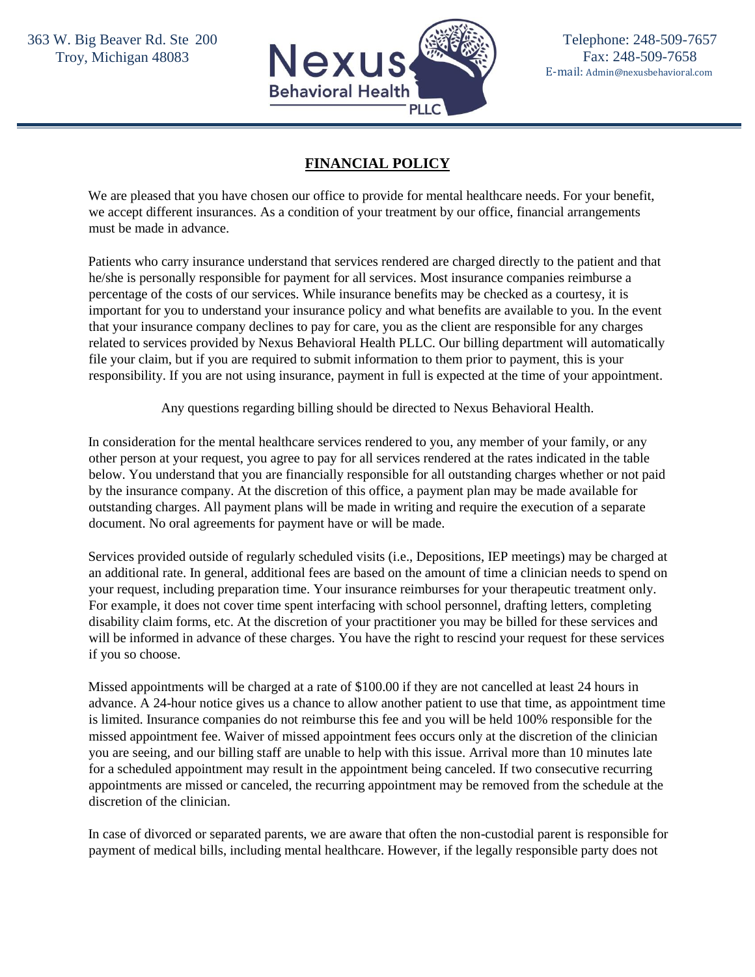

## **FINANCIAL POLICY**

We are pleased that you have chosen our office to provide for mental healthcare needs. For your benefit, we accept different insurances. As a condition of your treatment by our office, financial arrangements must be made in advance.

Patients who carry insurance understand that services rendered are charged directly to the patient and that he/she is personally responsible for payment for all services. Most insurance companies reimburse a percentage of the costs of our services. While insurance benefits may be checked as a courtesy, it is important for you to understand your insurance policy and what benefits are available to you. In the event that your insurance company declines to pay for care, you as the client are responsible for any charges related to services provided by Nexus Behavioral Health PLLC. Our billing department will automatically file your claim, but if you are required to submit information to them prior to payment, this is your responsibility. If you are not using insurance, payment in full is expected at the time of your appointment.

Any questions regarding billing should be directed to Nexus Behavioral Health.

In consideration for the mental healthcare services rendered to you, any member of your family, or any other person at your request, you agree to pay for all services rendered at the rates indicated in the table below. You understand that you are financially responsible for all outstanding charges whether or not paid by the insurance company. At the discretion of this office, a payment plan may be made available for outstanding charges. All payment plans will be made in writing and require the execution of a separate document. No oral agreements for payment have or will be made.

Services provided outside of regularly scheduled visits (i.e., Depositions, IEP meetings) may be charged at an additional rate. In general, additional fees are based on the amount of time a clinician needs to spend on your request, including preparation time. Your insurance reimburses for your therapeutic treatment only. For example, it does not cover time spent interfacing with school personnel, drafting letters, completing disability claim forms, etc. At the discretion of your practitioner you may be billed for these services and will be informed in advance of these charges. You have the right to rescind your request for these services if you so choose.

Missed appointments will be charged at a rate of \$100.00 if they are not cancelled at least 24 hours in advance. A 24-hour notice gives us a chance to allow another patient to use that time, as appointment time is limited. Insurance companies do not reimburse this fee and you will be held 100% responsible for the missed appointment fee. Waiver of missed appointment fees occurs only at the discretion of the clinician you are seeing, and our billing staff are unable to help with this issue. Arrival more than 10 minutes late for a scheduled appointment may result in the appointment being canceled. If two consecutive recurring appointments are missed or canceled, the recurring appointment may be removed from the schedule at the discretion of the clinician.

In case of divorced or separated parents, we are aware that often the non-custodial parent is responsible for payment of medical bills, including mental healthcare. However, if the legally responsible party does not